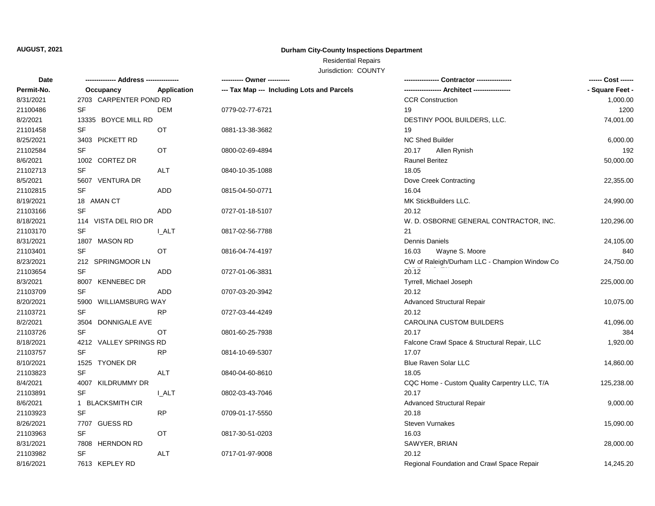## **AUGUST, 2021**

## **Durham City-County Inspections Department**

# Residential Repairs

Jurisdiction: COUNTY

| Date       |                        |                                 | ---------- Owner ----------                |                                               | ------ Cost ------ |
|------------|------------------------|---------------------------------|--------------------------------------------|-----------------------------------------------|--------------------|
| Permit-No. | Occupancy              | Application                     | --- Tax Map --- Including Lots and Parcels |                                               | - Square Feet -    |
| 8/31/2021  | 2703 CARPENTER POND RD |                                 |                                            | <b>CCR Construction</b>                       | 1,000.00           |
| 21100486   | SF                     | DEM                             | 0779-02-77-6721                            | 19                                            | 1200               |
| 8/2/2021   | 13335 BOYCE MILL RD    |                                 |                                            | DESTINY POOL BUILDERS, LLC.                   | 74,001.00          |
| 21101458   | <b>SF</b>              | OT                              | 0881-13-38-3682                            | 19                                            |                    |
| 8/25/2021  | 3403 PICKETT RD        |                                 |                                            | <b>NC Shed Builder</b>                        | 6,000.00           |
| 21102584   | <b>SF</b>              | ОT                              | 0800-02-69-4894                            | 20.17<br>Allen Rynish                         | 192                |
| 8/6/2021   | 1002 CORTEZ DR         |                                 |                                            | Raunel Beritez                                | 50,000.00          |
| 21102713   | <b>SF</b>              | ALT                             | 0840-10-35-1088                            | 18.05                                         |                    |
| 8/5/2021   | 5607 VENTURA DR        |                                 |                                            | Dove Creek Contracting                        | 22,355.00          |
| 21102815   | <b>SF</b>              | <b>ADD</b>                      | 0815-04-50-0771                            | 16.04                                         |                    |
| 8/19/2021  | 18 AMAN CT             |                                 |                                            | MK StickBuilders LLC.                         | 24,990.00          |
| 21103166   | <b>SF</b>              | ADD                             | 0727-01-18-5107                            | 20.12                                         |                    |
| 8/18/2021  | 114 VISTA DEL RIO DR   |                                 |                                            | W. D. OSBORNE GENERAL CONTRACTOR, INC.        | 120,296.00         |
| 21103170   | <b>SF</b>              | <b>I_ALT</b>                    | 0817-02-56-7788                            | 21                                            |                    |
| 8/31/2021  | 1807 MASON RD          |                                 |                                            | Dennis Daniels                                | 24,105.00          |
| 21103401   | SF                     | ОT                              | 0816-04-74-4197                            | 16.03<br>Wayne S. Moore                       | 840                |
| 8/23/2021  | 212 SPRINGMOOR LN      |                                 |                                            | CW of Raleigh/Durham LLC - Champion Window Co | 24,750.00          |
| 21103654   | <b>SF</b>              | <b>ADD</b>                      | 0727-01-06-3831                            | 20.12                                         |                    |
| 8/3/2021   | 8007 KENNEBEC DR       |                                 |                                            | Tyrrell, Michael Joseph                       | 225,000.00         |
| 21103709   | <b>SF</b>              | ADD                             | 0707-03-20-3942                            | 20.12                                         |                    |
| 8/20/2021  | 5900 WILLIAMSBURG WAY  |                                 |                                            | <b>Advanced Structural Repair</b>             | 10,075.00          |
| 21103721   | <b>SF</b>              | <b>RP</b>                       | 0727-03-44-4249                            | 20.12                                         |                    |
| 8/2/2021   | 3504 DONNIGALE AVE     | <b>CAROLINA CUSTOM BUILDERS</b> | 41,096.00                                  |                                               |                    |
| 21103726   | <b>SF</b>              | ОT                              | 0801-60-25-7938                            | 20.17                                         | 384                |
| 8/18/2021  | 4212 VALLEY SPRINGS RD |                                 |                                            | Falcone Crawl Space & Structural Repair, LLC  | 1,920.00           |
| 21103757   | <b>SF</b>              | <b>RP</b>                       | 0814-10-69-5307                            | 17.07                                         |                    |
| 8/10/2021  | 1525 TYONEK DR         |                                 |                                            | <b>Blue Raven Solar LLC</b>                   | 14,860.00          |
| 21103823   | <b>SF</b>              | <b>ALT</b>                      | 0840-04-60-8610                            | 18.05                                         |                    |
| 8/4/2021   | 4007 KILDRUMMY DR      |                                 |                                            | CQC Home - Custom Quality Carpentry LLC, T/A  | 125,238.00         |
| 21103891   | SF                     | <b>L_ALT</b>                    | 0802-03-43-7046                            | 20.17                                         |                    |
| 8/6/2021   | 1 BLACKSMITH CIR       |                                 |                                            | <b>Advanced Structural Repair</b>             | 9,000.00           |
| 21103923   | <b>SF</b>              | <b>RP</b>                       | 0709-01-17-5550                            | 20.18                                         |                    |
| 8/26/2021  | 7707 GUESS RD          |                                 |                                            | Steven Vurnakes                               | 15,090.00          |
| 21103963   | SF                     | ОT                              | 0817-30-51-0203                            | 16.03                                         |                    |
| 8/31/2021  | 7808 HERNDON RD        |                                 |                                            | SAWYER, BRIAN                                 | 28,000.00          |
| 21103982   | <b>SF</b>              | <b>ALT</b>                      | 0717-01-97-9008                            | 20.12                                         |                    |
| 8/16/2021  | 7613 KEPLEY RD         |                                 |                                            | Regional Foundation and Crawl Space Repair    | 14,245.20          |
|            |                        |                                 |                                            |                                               |                    |